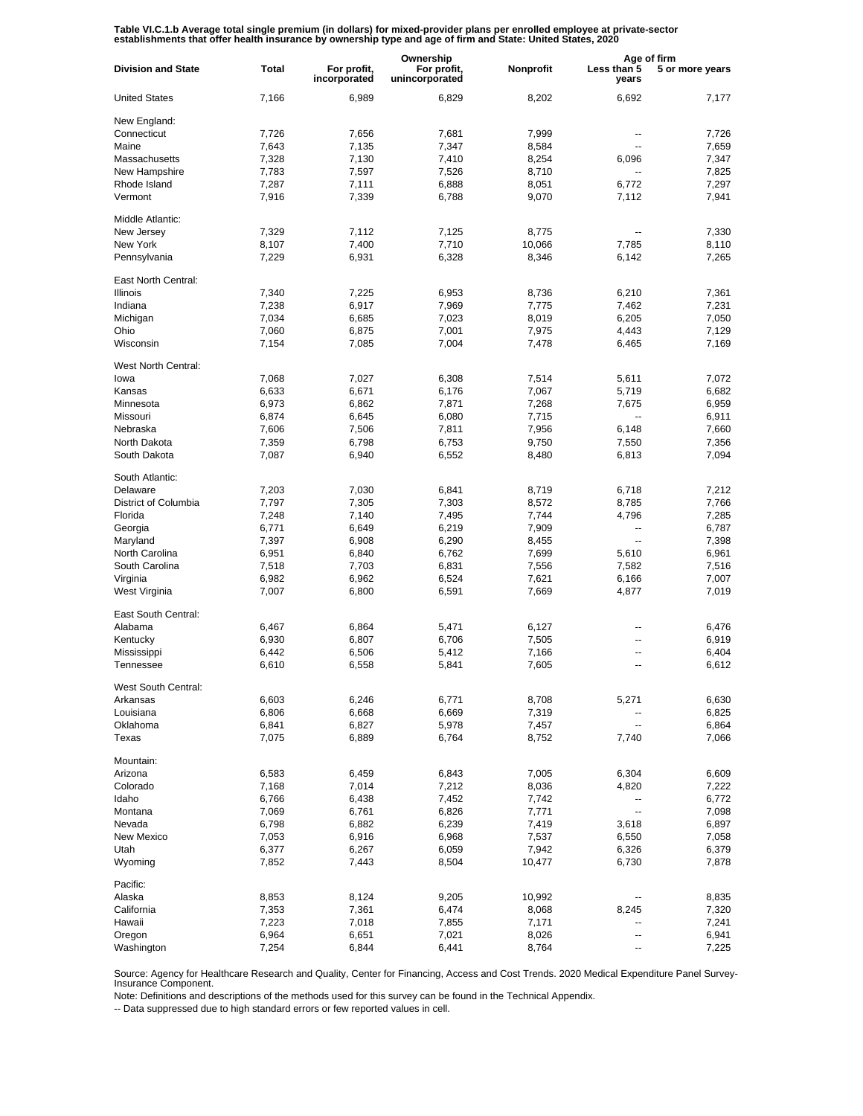Table VI.C.1.b Average total single premium (in dollars) for mixed-provider plans per enrolled employee at private-sector<br>establishments that offer health insurance by ownership type and age of firm and State: United State

|                           |              |                             | Ownership                     |           |                          | Age of firm     |  |
|---------------------------|--------------|-----------------------------|-------------------------------|-----------|--------------------------|-----------------|--|
| <b>Division and State</b> | <b>Total</b> | For profit,<br>incorporated | For profit,<br>unincorporated | Nonprofit | Less than 5<br>years     | 5 or more years |  |
| <b>United States</b>      | 7,166        | 6,989                       | 6,829                         | 8,202     | 6,692                    | 7,177           |  |
| New England:              |              |                             |                               |           |                          |                 |  |
| Connecticut               | 7,726        | 7,656                       | 7,681                         | 7,999     | --                       | 7,726           |  |
| Maine                     | 7,643        | 7,135                       | 7,347                         | 8,584     | $\overline{\phantom{a}}$ | 7,659           |  |
| Massachusetts             | 7,328        | 7,130                       | 7,410                         | 8,254     | 6,096                    | 7,347           |  |
| New Hampshire             | 7,783        | 7,597                       | 7,526                         | 8,710     | $\overline{\phantom{a}}$ | 7,825           |  |
| Rhode Island              | 7,287        | 7,111                       | 6,888                         | 8,051     | 6,772                    | 7,297           |  |
| Vermont                   | 7,916        | 7,339                       | 6,788                         | 9,070     | 7,112                    | 7,941           |  |
| Middle Atlantic:          |              |                             |                               |           |                          |                 |  |
| New Jersey                | 7,329        | 7,112                       | 7,125                         | 8,775     | --                       | 7,330           |  |
| New York                  | 8,107        | 7,400                       | 7,710                         | 10,066    | 7,785                    | 8,110           |  |
| Pennsylvania              | 7,229        | 6,931                       | 6,328                         | 8,346     | 6,142                    | 7,265           |  |
| East North Central:       |              |                             |                               |           |                          |                 |  |
| <b>Illinois</b>           | 7,340        | 7,225                       | 6,953                         | 8,736     | 6,210                    | 7,361           |  |
| Indiana                   | 7,238        | 6,917                       | 7,969                         | 7,775     | 7,462                    | 7,231           |  |
| Michigan                  | 7,034        | 6,685                       | 7,023                         | 8,019     | 6,205                    | 7,050           |  |
| Ohio                      | 7,060        | 6,875                       | 7,001                         | 7,975     | 4,443                    | 7,129           |  |
| Wisconsin                 | 7,154        | 7,085                       | 7,004                         | 7,478     | 6,465                    | 7,169           |  |
| West North Central:       |              |                             |                               |           |                          |                 |  |
| lowa                      | 7,068        | 7,027                       | 6,308                         | 7,514     | 5,611                    | 7,072           |  |
| Kansas                    | 6,633        | 6,671                       | 6,176                         | 7,067     | 5,719                    | 6,682           |  |
| Minnesota                 | 6,973        | 6,862                       | 7,871                         | 7,268     | 7,675                    | 6,959           |  |
| Missouri                  | 6,874        | 6,645                       | 6,080                         | 7,715     | $\overline{\phantom{a}}$ | 6,911           |  |
| Nebraska                  | 7,606        | 7,506                       | 7,811                         | 7,956     | 6,148                    | 7,660           |  |
| North Dakota              | 7,359        | 6,798                       | 6,753                         | 9,750     | 7,550                    | 7,356           |  |
| South Dakota              | 7,087        | 6,940                       | 6,552                         | 8,480     | 6,813                    | 7,094           |  |
| South Atlantic:           |              |                             |                               |           |                          |                 |  |
| Delaware                  | 7,203        | 7,030                       | 6,841                         | 8,719     | 6,718                    | 7,212           |  |
| District of Columbia      | 7,797        | 7,305                       | 7,303                         | 8,572     | 8,785                    | 7,766           |  |
| Florida                   | 7,248        | 7,140                       | 7,495                         | 7,744     | 4,796                    | 7,285           |  |
| Georgia                   | 6,771        | 6,649                       | 6,219                         | 7,909     | $\overline{\phantom{a}}$ | 6,787           |  |
| Maryland                  | 7,397        | 6,908                       | 6,290                         | 8,455     | $\overline{\phantom{a}}$ | 7,398           |  |
| North Carolina            | 6,951        | 6,840                       | 6,762                         | 7,699     | 5,610                    | 6,961           |  |
| South Carolina            | 7,518        | 7,703                       | 6,831                         | 7,556     | 7,582                    | 7,516           |  |
| Virginia                  | 6,982        | 6,962                       | 6,524                         | 7,621     | 6,166                    | 7,007           |  |
| West Virginia             | 7,007        | 6,800                       | 6,591                         | 7,669     | 4,877                    | 7,019           |  |
| East South Central:       |              |                             |                               |           |                          |                 |  |
| Alabama                   | 6,467        | 6,864                       | 5,471                         | 6,127     | --                       | 6,476           |  |
| Kentucky                  | 6,930        | 6,807                       | 6,706                         | 7,505     | ۰.                       | 6,919           |  |
| Mississippi               | 6,442        | 6,506                       | 5,412                         | 7,166     | --                       | 6,404           |  |
| Tennessee                 | 6,610        | 6,558                       | 5,841                         | 7,605     | $\overline{a}$           | 6,612           |  |
| West South Central:       |              |                             |                               |           |                          |                 |  |
| Arkansas                  | 6,603        | 6,246                       | 6,771                         | 8,708     | 5,271                    | 6,630           |  |
| Louisiana                 | 6,806        | 6,668                       | 6,669                         | 7,319     |                          | 6,825           |  |
| Oklahoma                  | 6,841        | 6,827                       | 5,978                         | 7,457     | --                       | 6,864           |  |
| Texas                     | 7,075        | 6,889                       | 6,764                         | 8,752     | 7,740                    | 7,066           |  |
| Mountain:                 |              |                             |                               |           |                          |                 |  |
| Arizona                   | 6,583        | 6,459                       | 6,843                         | 7,005     | 6,304                    | 6,609           |  |
| Colorado                  | 7,168        | 7,014                       | 7,212                         | 8,036     | 4,820                    | 7,222           |  |
| Idaho                     | 6,766        | 6,438                       | 7,452                         | 7,742     | --                       | 6,772           |  |
| Montana                   | 7,069        | 6,761                       | 6,826                         | 7,771     | --                       | 7,098           |  |
| Nevada                    | 6,798        | 6,882                       | 6,239                         | 7,419     | 3,618                    | 6,897           |  |
| New Mexico                | 7,053        | 6,916                       | 6,968                         | 7,537     | 6,550                    | 7,058           |  |
| Utah                      | 6,377        | 6,267                       | 6,059                         | 7,942     | 6,326                    | 6,379           |  |
| Wyoming                   | 7,852        | 7,443                       | 8,504                         | 10,477    | 6,730                    | 7,878           |  |
| Pacific:                  |              |                             |                               |           |                          |                 |  |
| Alaska                    | 8,853        | 8,124                       | 9,205                         | 10,992    |                          | 8,835           |  |
| California                | 7,353        | 7,361                       | 6,474                         | 8,068     | 8,245                    | 7,320           |  |
| Hawaii                    | 7,223        | 7,018                       | 7,855                         | 7,171     |                          | 7,241           |  |
| Oregon                    | 6,964        | 6,651                       | 7,021                         | 8,026     | --                       | 6,941           |  |
| Washington                | 7,254        | 6,844                       | 6,441                         | 8,764     | --                       | 7,225           |  |

Source: Agency for Healthcare Research and Quality, Center for Financing, Access and Cost Trends. 2020 Medical Expenditure Panel Survey-Insurance Component.

Note: Definitions and descriptions of the methods used for this survey can be found in the Technical Appendix.

-- Data suppressed due to high standard errors or few reported values in cell.